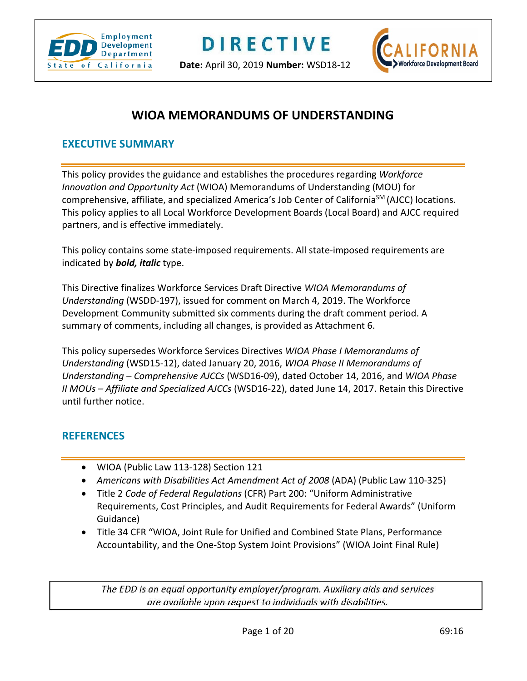

**Date:** April 30, 2019 **Number:** WSD18-12



# **WIOA MEMORANDUMS OF UNDERSTANDING**

#### **EXECUTIVE SUMMARY**

This policy provides the guidance and establishes the procedures regarding *Workforce Innovation and Opportunity Act* (WIOA) Memorandums of Understanding (MOU) for comprehensive, affiliate, and specialized America's Job Center of CaliforniaSM (AJCC) locations. This policy applies to all Local Workforce Development Boards (Local Board) and AJCC required partners, and is effective immediately.

This policy contains some state-imposed requirements. All state-imposed requirements are indicated by *bold, italic* type.

This Directive finalizes Workforce Services Draft Directive *WIOA Memorandums of Understanding* (WSDD-197), issued for comment on March 4, 2019. The Workforce Development Community submitted six comments during the draft comment period. A summary of comments, including all changes, is provided as Attachment 6.

This policy supersedes Workforce Services Directives *WIOA Phase I Memorandums of Understanding* (WSD15-12), dated January 20, 2016, *WIOA Phase II Memorandums of Understanding – Comprehensive AJCCs* (WSD16-09), dated October 14, 2016, and *WIOA Phase II MOUs – Affiliate and Specialized AJCCs* (WSD16-22), dated June 14, 2017. Retain this Directive until further notice.

#### **REFERENCES**

- WIOA (Public Law 113-128) Section 121
- *Americans with Disabilities Act Amendment Act of 2008* (ADA) (Public Law 110-325)
- Title 2 *Code of Federal Regulations* (CFR) Part 200: "Uniform Administrative Requirements, Cost Principles, and Audit Requirements for Federal Awards" (Uniform Guidance)
- Title 34 CFR "WIOA, Joint Rule for Unified and Combined State Plans, Performance Accountability, and the One-Stop System Joint Provisions" (WIOA Joint Final Rule)

The EDD is an equal opportunity employer/program. Auxiliary aids and services are available upon request to individuals with disabilities.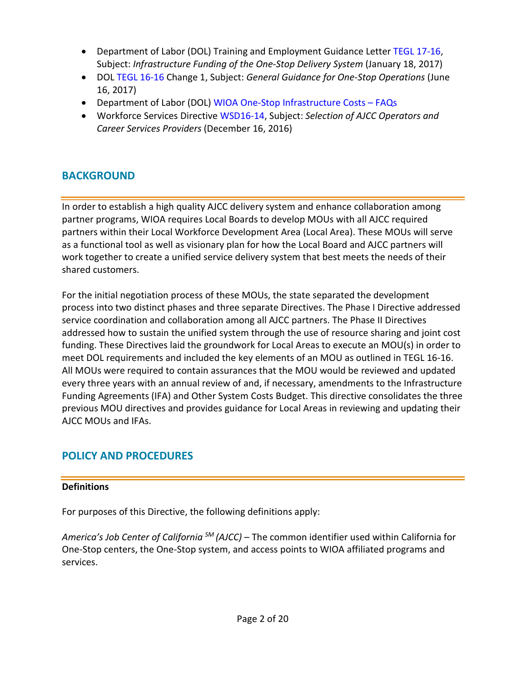- Department of Labor (DOL) Training and Employment Guidance Letter [TEGL 17-16,](https://wdr.doleta.gov/directives/corr_doc.cfm?DOCN=4968) Subject: *Infrastructure Funding of the One-Stop Delivery System* (January 18, 2017)
- DOL [TEGL 16-16](https://wdr.doleta.gov/directives/attach/TEGL/TEGL_16-16_Change_1.pdf) Change 1, Subject: *General Guidance for One-Stop Operations* (June 16, 2017)
- Department of Labor (DOL) [WIOA One-Stop Infrastructure Costs –](https://www.doleta.gov/wioa/docs/FAQs-Infrastructure-Funding-Guidance-Dec-27-2016.pdf) FAQs
- Workforce Services Directiv[e WSD16-14,](https://www.edd.ca.gov/Jobs_and_Training/pubs/wsd16-14.pdf) Subject: *Selection of AJCC Operators and Career Services Providers* (December 16, 2016)

# **BACKGROUND**

In order to establish a high quality AJCC delivery system and enhance collaboration among partner programs, WIOA requires Local Boards to develop MOUs with all AJCC required partners within their Local Workforce Development Area (Local Area). These MOUs will serve as a functional tool as well as visionary plan for how the Local Board and AJCC partners will work together to create a unified service delivery system that best meets the needs of their shared customers.

For the initial negotiation process of these MOUs, the state separated the development process into two distinct phases and three separate Directives. The Phase I Directive addressed service coordination and collaboration among all AJCC partners. The Phase II Directives addressed how to sustain the unified system through the use of resource sharing and joint cost funding. These Directives laid the groundwork for Local Areas to execute an MOU(s) in order to meet DOL requirements and included the key elements of an MOU as outlined in TEGL 16-16. All MOUs were required to contain assurances that the MOU would be reviewed and updated every three years with an annual review of and, if necessary, amendments to the Infrastructure Funding Agreements (IFA) and Other System Costs Budget. This directive consolidates the three previous MOU directives and provides guidance for Local Areas in reviewing and updating their AJCC MOUs and IFAs.

# **POLICY AND PROCEDURES**

#### **Definitions**

For purposes of this Directive, the following definitions apply:

*America's Job Center of California SM (AJCC)* – The common identifier used within California for One-Stop centers, the One-Stop system, and access points to WIOA affiliated programs and services.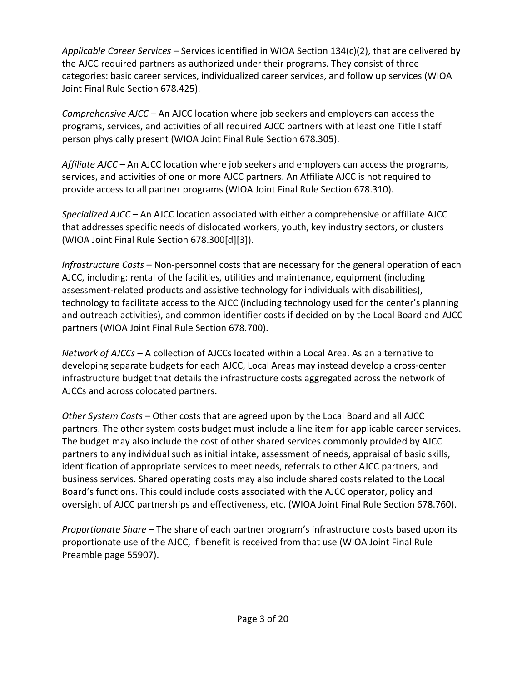*Applicable Career Services* – Services identified in WIOA Section 134(c)(2), that are delivered by the AJCC required partners as authorized under their programs. They consist of three categories: basic career services, individualized career services, and follow up services (WIOA Joint Final Rule Section 678.425).

*Comprehensive AJCC* – An AJCC location where job seekers and employers can access the programs, services, and activities of all required AJCC partners with at least one Title I staff person physically present (WIOA Joint Final Rule Section 678.305).

*Affiliate AJCC* – An AJCC location where job seekers and employers can access the programs, services, and activities of one or more AJCC partners. An Affiliate AJCC is not required to provide access to all partner programs (WIOA Joint Final Rule Section 678.310).

*Specialized AJCC* – An AJCC location associated with either a comprehensive or affiliate AJCC that addresses specific needs of dislocated workers, youth, key industry sectors, or clusters (WIOA Joint Final Rule Section 678.300[d][3]).

*Infrastructure Costs* – Non-personnel costs that are necessary for the general operation of each AJCC, including: rental of the facilities, utilities and maintenance, equipment (including assessment-related products and assistive technology for individuals with disabilities), technology to facilitate access to the AJCC (including technology used for the center's planning and outreach activities), and common identifier costs if decided on by the Local Board and AJCC partners (WIOA Joint Final Rule Section 678.700).

*Network of AJCCs* – A collection of AJCCs located within a Local Area. As an alternative to developing separate budgets for each AJCC, Local Areas may instead develop a cross-center infrastructure budget that details the infrastructure costs aggregated across the network of AJCCs and across colocated partners.

*Other System Costs* – Other costs that are agreed upon by the Local Board and all AJCC partners. The other system costs budget must include a line item for applicable career services. The budget may also include the cost of other shared services commonly provided by AJCC partners to any individual such as initial intake, assessment of needs, appraisal of basic skills, identification of appropriate services to meet needs, referrals to other AJCC partners, and business services. Shared operating costs may also include shared costs related to the Local Board's functions. This could include costs associated with the AJCC operator, policy and oversight of AJCC partnerships and effectiveness, etc. (WIOA Joint Final Rule Section 678.760).

*Proportionate Share* – The share of each partner program's infrastructure costs based upon its proportionate use of the AJCC, if benefit is received from that use (WIOA Joint Final Rule Preamble page 55907).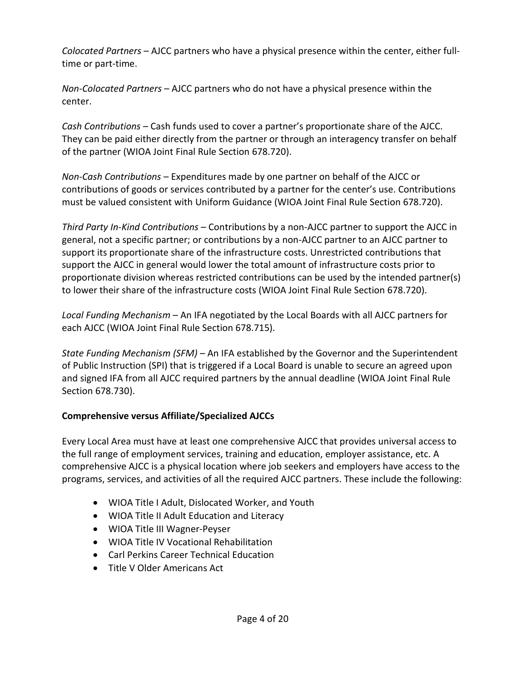*Colocated Partners* – AJCC partners who have a physical presence within the center, either fulltime or part-time.

*Non-Colocated Partners* – AJCC partners who do not have a physical presence within the center.

*Cash Contributions* – Cash funds used to cover a partner's proportionate share of the AJCC. They can be paid either directly from the partner or through an interagency transfer on behalf of the partner (WIOA Joint Final Rule Section 678.720).

*Non-Cash Contributions* – Expenditures made by one partner on behalf of the AJCC or contributions of goods or services contributed by a partner for the center's use. Contributions must be valued consistent with Uniform Guidance (WIOA Joint Final Rule Section 678.720).

*Third Party In-Kind Contributions* – Contributions by a non-AJCC partner to support the AJCC in general, not a specific partner; or contributions by a non-AJCC partner to an AJCC partner to support its proportionate share of the infrastructure costs. Unrestricted contributions that support the AJCC in general would lower the total amount of infrastructure costs prior to proportionate division whereas restricted contributions can be used by the intended partner(s) to lower their share of the infrastructure costs (WIOA Joint Final Rule Section 678.720).

*Local Funding Mechanism* – An IFA negotiated by the Local Boards with all AJCC partners for each AJCC (WIOA Joint Final Rule Section 678.715).

*State Funding Mechanism (SFM)* – An IFA established by the Governor and the Superintendent of Public Instruction (SPI) that is triggered if a Local Board is unable to secure an agreed upon and signed IFA from all AJCC required partners by the annual deadline (WIOA Joint Final Rule Section 678.730).

#### **Comprehensive versus Affiliate/Specialized AJCCs**

Every Local Area must have at least one comprehensive AJCC that provides universal access to the full range of employment services, training and education, employer assistance, etc. A comprehensive AJCC is a physical location where job seekers and employers have access to the programs, services, and activities of all the required AJCC partners. These include the following:

- WIOA Title I Adult, Dislocated Worker, and Youth
- WIOA Title II Adult Education and Literacy
- WIOA Title III Wagner-Peyser
- WIOA Title IV Vocational Rehabilitation
- Carl Perkins Career Technical Education
- Title V Older Americans Act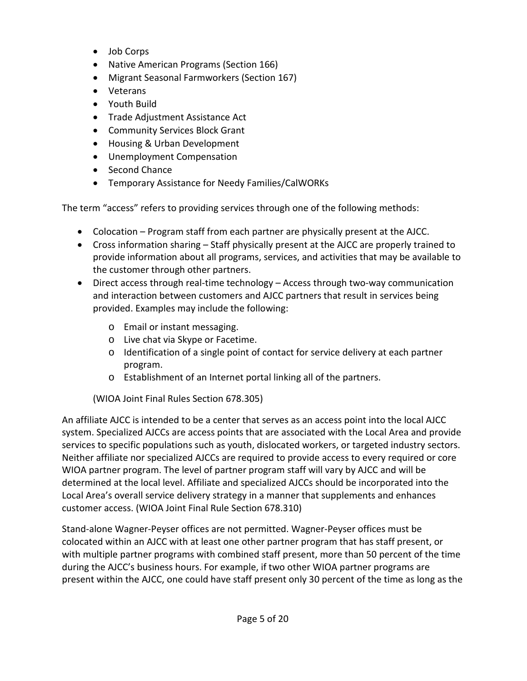- Job Corps
- Native American Programs (Section 166)
- Migrant Seasonal Farmworkers (Section 167)
- Veterans
- Youth Build
- Trade Adjustment Assistance Act
- Community Services Block Grant
- Housing & Urban Development
- Unemployment Compensation
- Second Chance
- Temporary Assistance for Needy Families/CalWORKs

The term "access" refers to providing services through one of the following methods:

- Colocation Program staff from each partner are physically present at the AJCC.
- Cross information sharing Staff physically present at the AJCC are properly trained to provide information about all programs, services, and activities that may be available to the customer through other partners.
- Direct access through real-time technology Access through two-way communication and interaction between customers and AJCC partners that result in services being provided. Examples may include the following:
	- o Email or instant messaging.
	- o Live chat via Skype or Facetime.
	- $\circ$  Identification of a single point of contact for service delivery at each partner program.
	- o Establishment of an Internet portal linking all of the partners.

(WIOA Joint Final Rules Section 678.305)

An affiliate AJCC is intended to be a center that serves as an access point into the local AJCC system. Specialized AJCCs are access points that are associated with the Local Area and provide services to specific populations such as youth, dislocated workers, or targeted industry sectors. Neither affiliate nor specialized AJCCs are required to provide access to every required or core WIOA partner program. The level of partner program staff will vary by AJCC and will be determined at the local level. Affiliate and specialized AJCCs should be incorporated into the Local Area's overall service delivery strategy in a manner that supplements and enhances customer access. (WIOA Joint Final Rule Section 678.310)

Stand-alone Wagner-Peyser offices are not permitted. Wagner-Peyser offices must be colocated within an AJCC with at least one other partner program that has staff present, or with multiple partner programs with combined staff present, more than 50 percent of the time during the AJCC's business hours. For example, if two other WIOA partner programs are present within the AJCC, one could have staff present only 30 percent of the time as long as the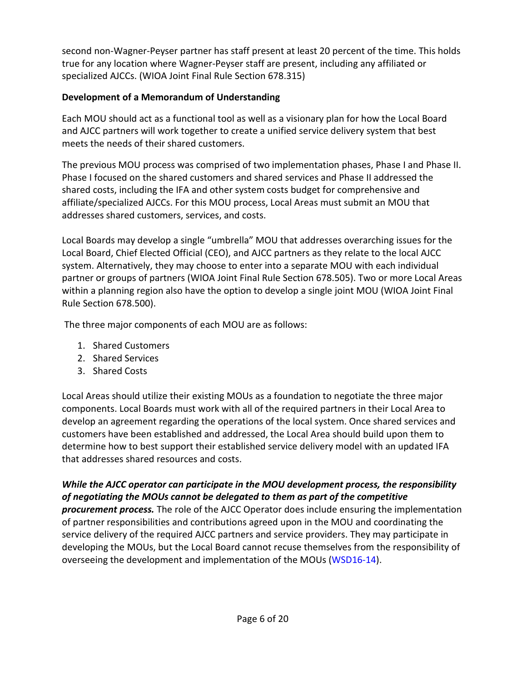second non-Wagner-Peyser partner has staff present at least 20 percent of the time. This holds true for any location where Wagner-Peyser staff are present, including any affiliated or specialized AJCCs. (WIOA Joint Final Rule Section 678.315)

## **Development of a Memorandum of Understanding**

Each MOU should act as a functional tool as well as a visionary plan for how the Local Board and AJCC partners will work together to create a unified service delivery system that best meets the needs of their shared customers.

The previous MOU process was comprised of two implementation phases, Phase I and Phase II. Phase I focused on the shared customers and shared services and Phase II addressed the shared costs, including the IFA and other system costs budget for comprehensive and affiliate/specialized AJCCs. For this MOU process, Local Areas must submit an MOU that addresses shared customers, services, and costs.

Local Boards may develop a single "umbrella" MOU that addresses overarching issues for the Local Board, Chief Elected Official (CEO), and AJCC partners as they relate to the local AJCC system. Alternatively, they may choose to enter into a separate MOU with each individual partner or groups of partners (WIOA Joint Final Rule Section 678.505). Two or more Local Areas within a planning region also have the option to develop a single joint MOU (WIOA Joint Final Rule Section 678.500).

The three major components of each MOU are as follows:

- 1. Shared Customers
- 2. Shared Services
- 3. Shared Costs

Local Areas should utilize their existing MOUs as a foundation to negotiate the three major components. Local Boards must work with all of the required partners in their Local Area to develop an agreement regarding the operations of the local system. Once shared services and customers have been established and addressed, the Local Area should build upon them to determine how to best support their established service delivery model with an updated IFA that addresses shared resources and costs.

### *While the AJCC operator can participate in the MOU development process, the responsibility of negotiating the MOUs cannot be delegated to them as part of the competitive*

*procurement process.* The role of the AJCC Operator does include ensuring the implementation of partner responsibilities and contributions agreed upon in the MOU and coordinating the service delivery of the required AJCC partners and service providers. They may participate in developing the MOUs, but the Local Board cannot recuse themselves from the responsibility of overseeing the development and implementation of the MOUs [\(WSD16-14\)](https://www.edd.ca.gov/Jobs_and_Training/pubs/wsd16-14.pdf).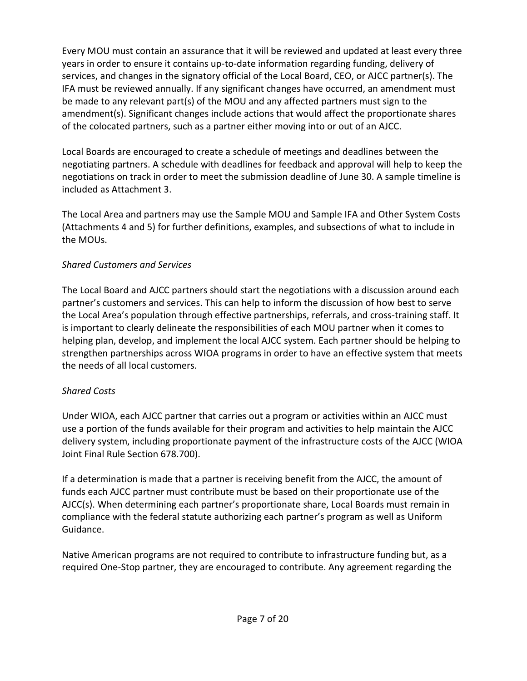Every MOU must contain an assurance that it will be reviewed and updated at least every three years in order to ensure it contains up-to-date information regarding funding, delivery of services, and changes in the signatory official of the Local Board, CEO, or AJCC partner(s). The IFA must be reviewed annually. If any significant changes have occurred, an amendment must be made to any relevant part(s) of the MOU and any affected partners must sign to the amendment(s). Significant changes include actions that would affect the proportionate shares of the colocated partners, such as a partner either moving into or out of an AJCC.

Local Boards are encouraged to create a schedule of meetings and deadlines between the negotiating partners. A schedule with deadlines for feedback and approval will help to keep the negotiations on track in order to meet the submission deadline of June 30. A sample timeline is included as Attachment 3.

The Local Area and partners may use the Sample MOU and Sample IFA and Other System Costs (Attachments 4 and 5) for further definitions, examples, and subsections of what to include in the MOUs.

### *Shared Customers and Services*

The Local Board and AJCC partners should start the negotiations with a discussion around each partner's customers and services. This can help to inform the discussion of how best to serve the Local Area's population through effective partnerships, referrals, and cross-training staff. It is important to clearly delineate the responsibilities of each MOU partner when it comes to helping plan, develop, and implement the local AJCC system. Each partner should be helping to strengthen partnerships across WIOA programs in order to have an effective system that meets the needs of all local customers.

## *Shared Costs*

Under WIOA, each AJCC partner that carries out a program or activities within an AJCC must use a portion of the funds available for their program and activities to help maintain the AJCC delivery system, including proportionate payment of the infrastructure costs of the AJCC (WIOA Joint Final Rule Section 678.700).

If a determination is made that a partner is receiving benefit from the AJCC, the amount of funds each AJCC partner must contribute must be based on their proportionate use of the AJCC(s). When determining each partner's proportionate share, Local Boards must remain in compliance with the federal statute authorizing each partner's program as well as Uniform Guidance.

Native American programs are not required to contribute to infrastructure funding but, as a required One-Stop partner, they are encouraged to contribute. Any agreement regarding the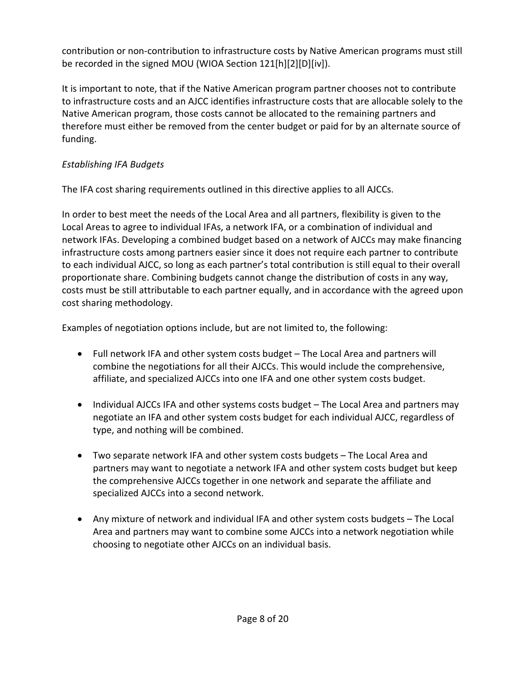contribution or non-contribution to infrastructure costs by Native American programs must still be recorded in the signed MOU (WIOA Section 121[h][2][D][iv]).

It is important to note, that if the Native American program partner chooses not to contribute to infrastructure costs and an AJCC identifies infrastructure costs that are allocable solely to the Native American program, those costs cannot be allocated to the remaining partners and therefore must either be removed from the center budget or paid for by an alternate source of funding.

## *Establishing IFA Budgets*

The IFA cost sharing requirements outlined in this directive applies to all AJCCs.

In order to best meet the needs of the Local Area and all partners, flexibility is given to the Local Areas to agree to individual IFAs, a network IFA, or a combination of individual and network IFAs. Developing a combined budget based on a network of AJCCs may make financing infrastructure costs among partners easier since it does not require each partner to contribute to each individual AJCC, so long as each partner's total contribution is still equal to their overall proportionate share. Combining budgets cannot change the distribution of costs in any way, costs must be still attributable to each partner equally, and in accordance with the agreed upon cost sharing methodology.

Examples of negotiation options include, but are not limited to, the following:

- Full network IFA and other system costs budget The Local Area and partners will combine the negotiations for all their AJCCs. This would include the comprehensive, affiliate, and specialized AJCCs into one IFA and one other system costs budget.
- Individual AJCCs IFA and other systems costs budget The Local Area and partners may negotiate an IFA and other system costs budget for each individual AJCC, regardless of type, and nothing will be combined.
- Two separate network IFA and other system costs budgets The Local Area and partners may want to negotiate a network IFA and other system costs budget but keep the comprehensive AJCCs together in one network and separate the affiliate and specialized AJCCs into a second network.
- Any mixture of network and individual IFA and other system costs budgets The Local Area and partners may want to combine some AJCCs into a network negotiation while choosing to negotiate other AJCCs on an individual basis.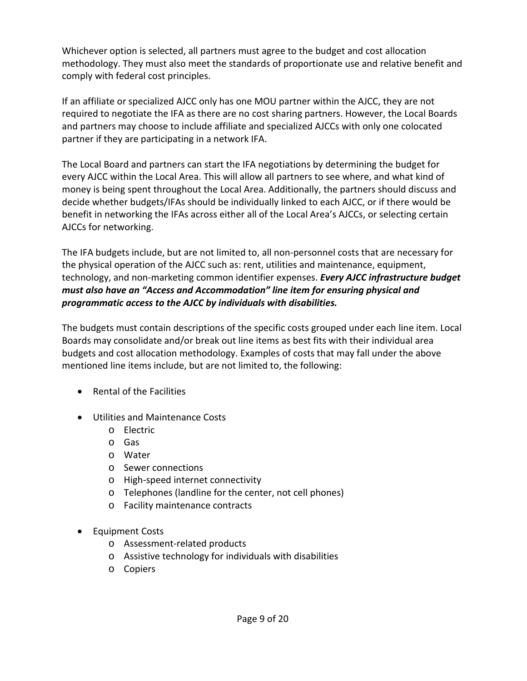Whichever option is selected, all partners must agree to the budget and cost allocation methodology. They must also meet the standards of proportionate use and relative benefit and comply with federal cost principles.

If an affiliate or specialized AJCC only has one MOU partner within the AJCC, they are not required to negotiate the IFA as there are no cost sharing partners. However, the Local Boards and partners may choose to include affiliate and specialized AJCCs with only one colocated partner if they are participating in a network IFA.

The Local Board and partners can start the IFA negotiations by determining the budget for every AJCC within the Local Area. This will allow all partners to see where, and what kind of money is being spent throughout the Local Area. Additionally, the partners should discuss and decide whether budgets/IFAs should be individually linked to each AJCC, or if there would be benefit in networking the IFAs across either all of the Local Area's AJCCs, or selecting certain AJCCs for networking.

The IFA budgets include, but are not limited to, all non-personnel costs that are necessary for the physical operation of the AJCC such as: rent, utilities and maintenance, equipment, technology, and non-marketing common identifier expenses. *Every AJCC infrastructure budget must also have an "Access and Accommodation" line item for ensuring physical and programmatic access to the AJCC by individuals with disabilities.*

The budgets must contain descriptions of the specific costs grouped under each line item. Local Boards may consolidate and/or break out line items as best fits with their individual area budgets and cost allocation methodology. Examples of costs that may fall under the above mentioned line items include, but are not limited to, the following:

- Rental of the Facilities
- Utilities and Maintenance Costs
	- o Electric
	- o Gas
	- o Water
	- o Sewer connections
	- o High-speed internet connectivity
	- o Telephones (landline for the center, not cell phones)
	- o Facility maintenance contracts
- Equipment Costs
	- o Assessment-related products
	- o Assistive technology for individuals with disabilities
	- o Copiers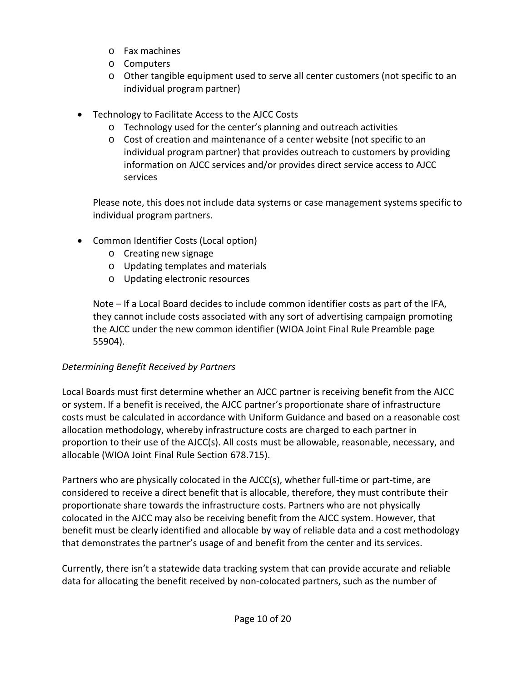- o Fax machines
- o Computers
- o Other tangible equipment used to serve all center customers (not specific to an individual program partner)
- Technology to Facilitate Access to the AJCC Costs
	- o Technology used for the center's planning and outreach activities
	- o Cost of creation and maintenance of a center website (not specific to an individual program partner) that provides outreach to customers by providing information on AJCC services and/or provides direct service access to AJCC services

Please note, this does not include data systems or case management systems specific to individual program partners.

- Common Identifier Costs (Local option)
	- o Creating new signage
	- o Updating templates and materials
	- o Updating electronic resources

Note – If a Local Board decides to include common identifier costs as part of the IFA, they cannot include costs associated with any sort of advertising campaign promoting the AJCC under the new common identifier (WIOA Joint Final Rule Preamble page 55904).

## *Determining Benefit Received by Partners*

Local Boards must first determine whether an AJCC partner is receiving benefit from the AJCC or system. If a benefit is received, the AJCC partner's proportionate share of infrastructure costs must be calculated in accordance with Uniform Guidance and based on a reasonable cost allocation methodology, whereby infrastructure costs are charged to each partner in proportion to their use of the AJCC(s). All costs must be allowable, reasonable, necessary, and allocable (WIOA Joint Final Rule Section 678.715).

Partners who are physically colocated in the AJCC(s), whether full-time or part-time, are considered to receive a direct benefit that is allocable, therefore, they must contribute their proportionate share towards the infrastructure costs. Partners who are not physically colocated in the AJCC may also be receiving benefit from the AJCC system. However, that benefit must be clearly identified and allocable by way of reliable data and a cost methodology that demonstrates the partner's usage of and benefit from the center and its services.

Currently, there isn't a statewide data tracking system that can provide accurate and reliable data for allocating the benefit received by non-colocated partners, such as the number of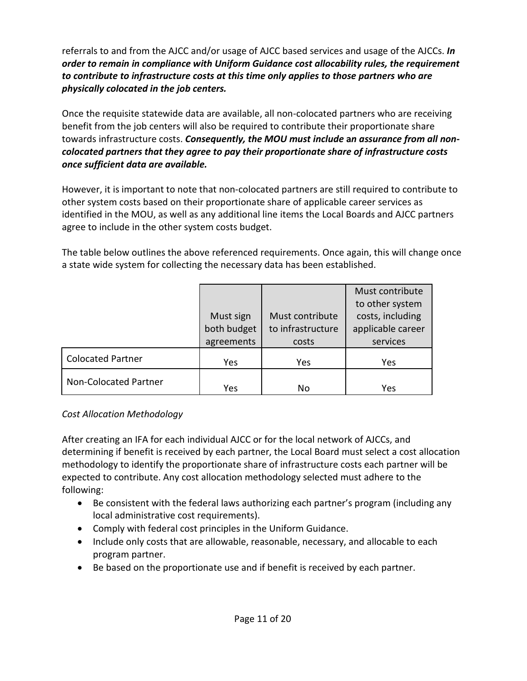referrals to and from the AJCC and/or usage of AJCC based services and usage of the AJCCs. *In order to remain in compliance with Uniform Guidance cost allocability rules, the requirement to contribute to infrastructure costs at this time only applies to those partners who are physically colocated in the job centers.*

Once the requisite statewide data are available, all non-colocated partners who are receiving benefit from the job centers will also be required to contribute their proportionate share towards infrastructure costs. *Consequently, the MOU must include* **a***n assurance from all noncolocated partners that they agree to pay their proportionate share of infrastructure costs once sufficient data are available.*

However, it is important to note that non-colocated partners are still required to contribute to other system costs based on their proportionate share of applicable career services as identified in the MOU, as well as any additional line items the Local Boards and AJCC partners agree to include in the other system costs budget.

The table below outlines the above referenced requirements. Once again, this will change once a state wide system for collecting the necessary data has been established.

|                          |             |                   | Must contribute   |
|--------------------------|-------------|-------------------|-------------------|
|                          |             |                   |                   |
|                          |             |                   | to other system   |
|                          | Must sign   | Must contribute   | costs, including  |
|                          | both budget | to infrastructure | applicable career |
|                          | agreements  | costs             | services          |
| <b>Colocated Partner</b> | Yes         | Yes               | Yes               |
| Non-Colocated Partner    | Yes         | No                | Yes               |

#### *Cost Allocation Methodology*

After creating an IFA for each individual AJCC or for the local network of AJCCs, and determining if benefit is received by each partner, the Local Board must select a cost allocation methodology to identify the proportionate share of infrastructure costs each partner will be expected to contribute. Any cost allocation methodology selected must adhere to the following:

- Be consistent with the federal laws authorizing each partner's program (including any local administrative cost requirements).
- Comply with federal cost principles in the Uniform Guidance.
- Include only costs that are allowable, reasonable, necessary, and allocable to each program partner.
- Be based on the proportionate use and if benefit is received by each partner.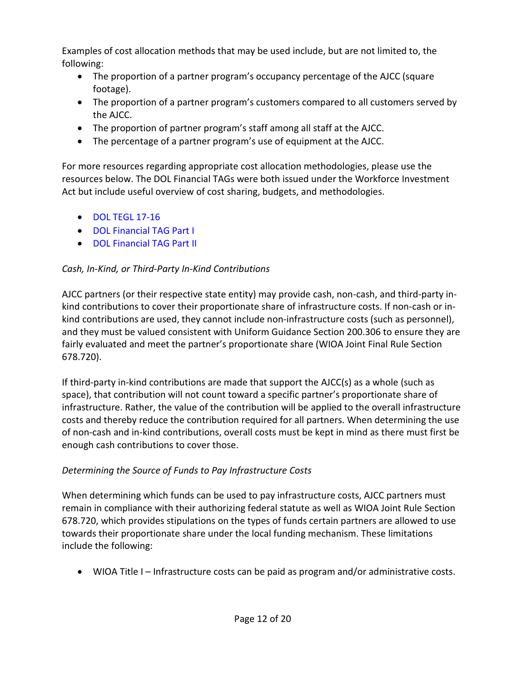Examples of cost allocation methods that may be used include, but are not limited to, the following:

- The proportion of a partner program's occupancy percentage of the AJCC (square footage).
- The proportion of a partner program's customers compared to all customers served by the AJCC.
- The proportion of partner program's staff among all staff at the AJCC.
- The percentage of a partner program's use of equipment at the AJCC.

For more resources regarding appropriate cost allocation methodologies, please use the resources below. The DOL Financial TAGs were both issued under the Workforce Investment Act but include useful overview of cost sharing, budgets, and methodologies.

- [DOL TEGL 17-16](https://wdr.doleta.gov/directives/corr_doc.cfm?DOCN=4968)
- [DOL Financial TAG Part I](http://www.doleta.gov/grants/pdf/TAG_PartI.pdf)
- [DOL Financial TAG Part II](http://www.doleta.gov/grants/pdf/TAG_PartII_July2011.pdf)

## *Cash, In-Kind, or Third-Party In-Kind Contributions*

AJCC partners (or their respective state entity) may provide cash, non-cash, and third-party inkind contributions to cover their proportionate share of infrastructure costs. If non-cash or inkind contributions are used, they cannot include non-infrastructure costs (such as personnel), and they must be valued consistent with Uniform Guidance Section 200.306 to ensure they are fairly evaluated and meet the partner's proportionate share (WIOA Joint Final Rule Section 678.720).

If third-party in-kind contributions are made that support the AJCC(s) as a whole (such as space), that contribution will not count toward a specific partner's proportionate share of infrastructure. Rather, the value of the contribution will be applied to the overall infrastructure costs and thereby reduce the contribution required for all partners. When determining the use of non-cash and in-kind contributions, overall costs must be kept in mind as there must first be enough cash contributions to cover those.

## *Determining the Source of Funds to Pay Infrastructure Costs*

When determining which funds can be used to pay infrastructure costs, AJCC partners must remain in compliance with their authorizing federal statute as well as WIOA Joint Rule Section 678.720, which provides stipulations on the types of funds certain partners are allowed to use towards their proportionate share under the local funding mechanism. These limitations include the following:

• WIOA Title I – Infrastructure costs can be paid as program and/or administrative costs.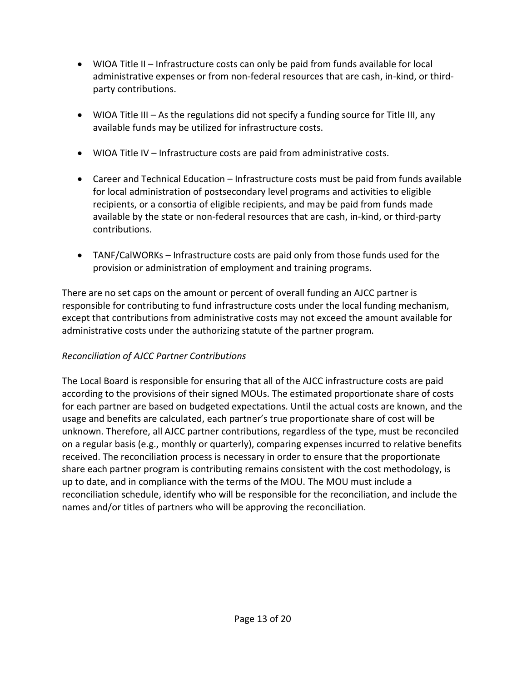- WIOA Title II Infrastructure costs can only be paid from funds available for local administrative expenses or from non-federal resources that are cash, in-kind, or thirdparty contributions.
- WIOA Title III As the regulations did not specify a funding source for Title III, any available funds may be utilized for infrastructure costs.
- WIOA Title IV Infrastructure costs are paid from administrative costs.
- Career and Technical Education Infrastructure costs must be paid from funds available for local administration of postsecondary level programs and activities to eligible recipients, or a consortia of eligible recipients, and may be paid from funds made available by the state or non-federal resources that are cash, in-kind, or third-party contributions.
- TANF/CalWORKs Infrastructure costs are paid only from those funds used for the provision or administration of employment and training programs.

There are no set caps on the amount or percent of overall funding an AJCC partner is responsible for contributing to fund infrastructure costs under the local funding mechanism, except that contributions from administrative costs may not exceed the amount available for administrative costs under the authorizing statute of the partner program.

## *Reconciliation of AJCC Partner Contributions*

The Local Board is responsible for ensuring that all of the AJCC infrastructure costs are paid according to the provisions of their signed MOUs. The estimated proportionate share of costs for each partner are based on budgeted expectations. Until the actual costs are known, and the usage and benefits are calculated, each partner's true proportionate share of cost will be unknown. Therefore, all AJCC partner contributions, regardless of the type, must be reconciled on a regular basis (e.g., monthly or quarterly), comparing expenses incurred to relative benefits received. The reconciliation process is necessary in order to ensure that the proportionate share each partner program is contributing remains consistent with the cost methodology, is up to date, and in compliance with the terms of the MOU. The MOU must include a reconciliation schedule, identify who will be responsible for the reconciliation, and include the names and/or titles of partners who will be approving the reconciliation.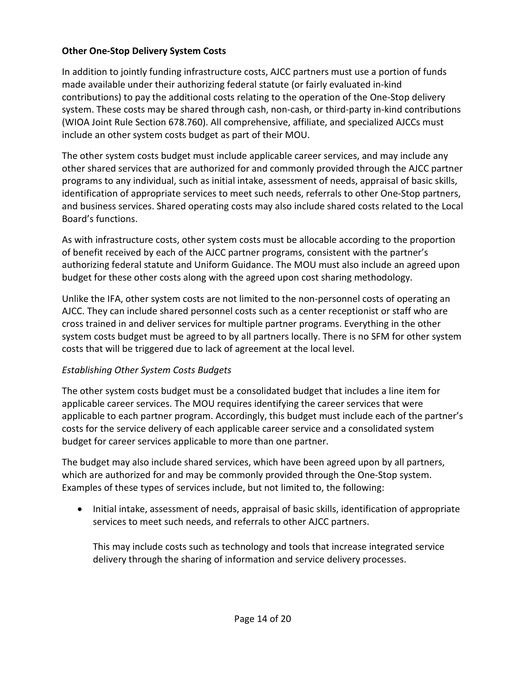#### **Other One-Stop Delivery System Costs**

In addition to jointly funding infrastructure costs, AJCC partners must use a portion of funds made available under their authorizing federal statute (or fairly evaluated in-kind contributions) to pay the additional costs relating to the operation of the One-Stop delivery system. These costs may be shared through cash, non-cash, or third-party in-kind contributions (WIOA Joint Rule Section 678.760). All comprehensive, affiliate, and specialized AJCCs must include an other system costs budget as part of their MOU.

The other system costs budget must include applicable career services, and may include any other shared services that are authorized for and commonly provided through the AJCC partner programs to any individual, such as initial intake, assessment of needs, appraisal of basic skills, identification of appropriate services to meet such needs, referrals to other One-Stop partners, and business services. Shared operating costs may also include shared costs related to the Local Board's functions.

As with infrastructure costs, other system costs must be allocable according to the proportion of benefit received by each of the AJCC partner programs, consistent with the partner's authorizing federal statute and Uniform Guidance. The MOU must also include an agreed upon budget for these other costs along with the agreed upon cost sharing methodology.

Unlike the IFA, other system costs are not limited to the non-personnel costs of operating an AJCC. They can include shared personnel costs such as a center receptionist or staff who are cross trained in and deliver services for multiple partner programs. Everything in the other system costs budget must be agreed to by all partners locally. There is no SFM for other system costs that will be triggered due to lack of agreement at the local level.

#### *Establishing Other System Costs Budgets*

The other system costs budget must be a consolidated budget that includes a line item for applicable career services. The MOU requires identifying the career services that were applicable to each partner program. Accordingly, this budget must include each of the partner's costs for the service delivery of each applicable career service and a consolidated system budget for career services applicable to more than one partner.

The budget may also include shared services, which have been agreed upon by all partners, which are authorized for and may be commonly provided through the One-Stop system. Examples of these types of services include, but not limited to, the following:

• Initial intake, assessment of needs, appraisal of basic skills, identification of appropriate services to meet such needs, and referrals to other AJCC partners.

This may include costs such as technology and tools that increase integrated service delivery through the sharing of information and service delivery processes.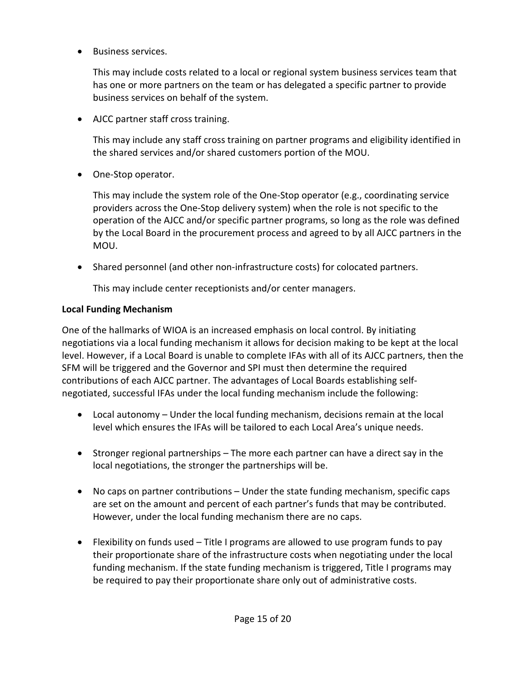• Business services.

This may include costs related to a local or regional system business services team that has one or more partners on the team or has delegated a specific partner to provide business services on behalf of the system.

• AJCC partner staff cross training.

This may include any staff cross training on partner programs and eligibility identified in the shared services and/or shared customers portion of the MOU.

• One-Stop operator.

This may include the system role of the One-Stop operator (e.g., coordinating service providers across the One-Stop delivery system) when the role is not specific to the operation of the AJCC and/or specific partner programs, so long as the role was defined by the Local Board in the procurement process and agreed to by all AJCC partners in the MOU.

• Shared personnel (and other non-infrastructure costs) for colocated partners.

This may include center receptionists and/or center managers.

## **Local Funding Mechanism**

One of the hallmarks of WIOA is an increased emphasis on local control. By initiating negotiations via a local funding mechanism it allows for decision making to be kept at the local level. However, if a Local Board is unable to complete IFAs with all of its AJCC partners, then the SFM will be triggered and the Governor and SPI must then determine the required contributions of each AJCC partner. The advantages of Local Boards establishing selfnegotiated, successful IFAs under the local funding mechanism include the following:

- Local autonomy Under the local funding mechanism, decisions remain at the local level which ensures the IFAs will be tailored to each Local Area's unique needs.
- Stronger regional partnerships The more each partner can have a direct say in the local negotiations, the stronger the partnerships will be.
- No caps on partner contributions Under the state funding mechanism, specific caps are set on the amount and percent of each partner's funds that may be contributed. However, under the local funding mechanism there are no caps.
- Flexibility on funds used Title I programs are allowed to use program funds to pay their proportionate share of the infrastructure costs when negotiating under the local funding mechanism. If the state funding mechanism is triggered, Title I programs may be required to pay their proportionate share only out of administrative costs.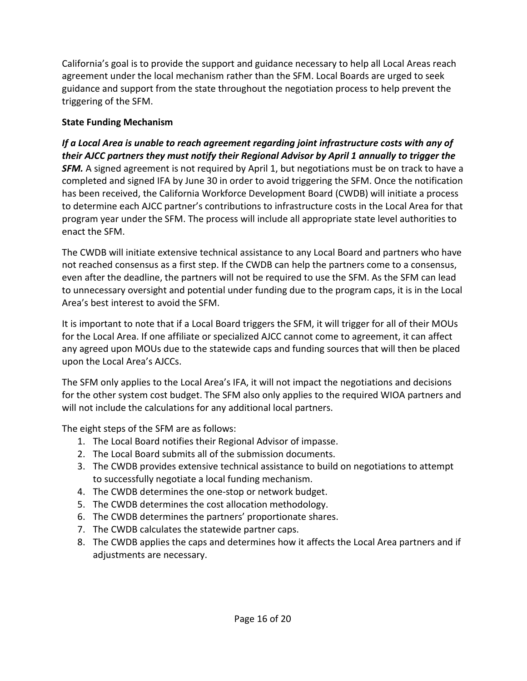California's goal is to provide the support and guidance necessary to help all Local Areas reach agreement under the local mechanism rather than the SFM. Local Boards are urged to seek guidance and support from the state throughout the negotiation process to help prevent the triggering of the SFM.

## **State Funding Mechanism**

*If a Local Area is unable to reach agreement regarding joint infrastructure costs with any of their AJCC partners they must notify their Regional Advisor by April 1 annually to trigger the*  **SFM.** A signed agreement is not required by April 1, but negotiations must be on track to have a completed and signed IFA by June 30 in order to avoid triggering the SFM. Once the notification has been received, the California Workforce Development Board (CWDB) will initiate a process to determine each AJCC partner's contributions to infrastructure costs in the Local Area for that program year under the SFM. The process will include all appropriate state level authorities to enact the SFM.

The CWDB will initiate extensive technical assistance to any Local Board and partners who have not reached consensus as a first step. If the CWDB can help the partners come to a consensus, even after the deadline, the partners will not be required to use the SFM. As the SFM can lead to unnecessary oversight and potential under funding due to the program caps, it is in the Local Area's best interest to avoid the SFM.

It is important to note that if a Local Board triggers the SFM, it will trigger for all of their MOUs for the Local Area. If one affiliate or specialized AJCC cannot come to agreement, it can affect any agreed upon MOUs due to the statewide caps and funding sources that will then be placed upon the Local Area's AJCCs.

The SFM only applies to the Local Area's IFA, it will not impact the negotiations and decisions for the other system cost budget. The SFM also only applies to the required WIOA partners and will not include the calculations for any additional local partners.

The eight steps of the SFM are as follows:

- 1. The Local Board notifies their Regional Advisor of impasse.
- 2. The Local Board submits all of the submission documents.
- 3. The CWDB provides extensive technical assistance to build on negotiations to attempt to successfully negotiate a local funding mechanism.
- 4. The CWDB determines the one-stop or network budget.
- 5. The CWDB determines the cost allocation methodology.
- 6. The CWDB determines the partners' proportionate shares.
- 7. The CWDB calculates the statewide partner caps.
- 8. The CWDB applies the caps and determines how it affects the Local Area partners and if adjustments are necessary.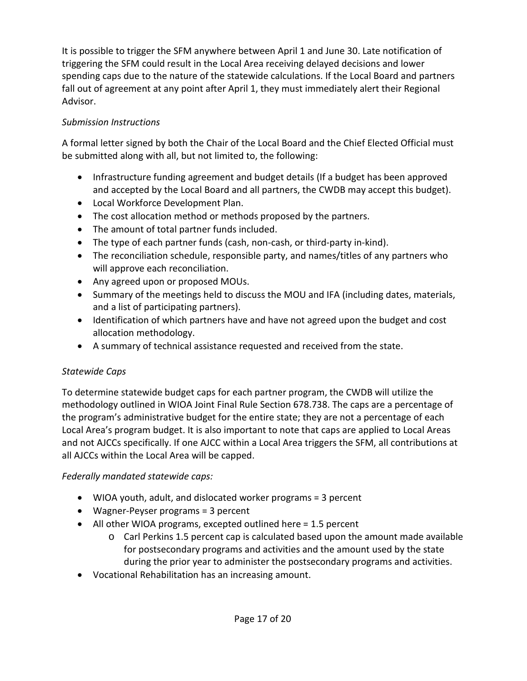It is possible to trigger the SFM anywhere between April 1 and June 30. Late notification of triggering the SFM could result in the Local Area receiving delayed decisions and lower spending caps due to the nature of the statewide calculations. If the Local Board and partners fall out of agreement at any point after April 1, they must immediately alert their Regional Advisor.

## *Submission Instructions*

A formal letter signed by both the Chair of the Local Board and the Chief Elected Official must be submitted along with all, but not limited to, the following:

- Infrastructure funding agreement and budget details (If a budget has been approved and accepted by the Local Board and all partners, the CWDB may accept this budget).
- Local Workforce Development Plan.
- The cost allocation method or methods proposed by the partners.
- The amount of total partner funds included.
- The type of each partner funds (cash, non-cash, or third-party in-kind).
- The reconciliation schedule, responsible party, and names/titles of any partners who will approve each reconciliation.
- Any agreed upon or proposed MOUs.
- Summary of the meetings held to discuss the MOU and IFA (including dates, materials, and a list of participating partners).
- Identification of which partners have and have not agreed upon the budget and cost allocation methodology.
- A summary of technical assistance requested and received from the state.

## *Statewide Caps*

To determine statewide budget caps for each partner program, the CWDB will utilize the methodology outlined in WIOA Joint Final Rule Section 678.738. The caps are a percentage of the program's administrative budget for the entire state; they are not a percentage of each Local Area's program budget. It is also important to note that caps are applied to Local Areas and not AJCCs specifically. If one AJCC within a Local Area triggers the SFM, all contributions at all AJCCs within the Local Area will be capped.

## *Federally mandated statewide caps:*

- WIOA youth, adult, and dislocated worker programs = 3 percent
- Wagner-Peyser programs = 3 percent
- All other WIOA programs, excepted outlined here = 1.5 percent
	- $\circ$  Carl Perkins 1.5 percent cap is calculated based upon the amount made available for postsecondary programs and activities and the amount used by the state during the prior year to administer the postsecondary programs and activities.
- Vocational Rehabilitation has an increasing amount.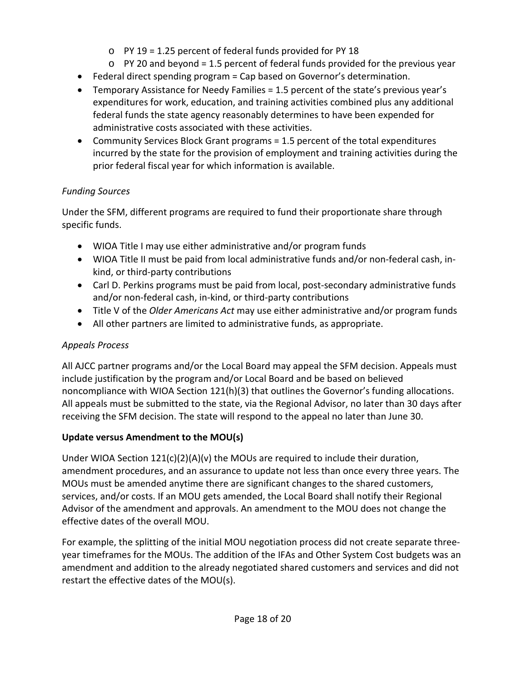- o PY 19 = 1.25 percent of federal funds provided for PY 18
- o PY 20 and beyond = 1.5 percent of federal funds provided for the previous year
- Federal direct spending program = Cap based on Governor's determination.
- Temporary Assistance for Needy Families = 1.5 percent of the state's previous year's expenditures for work, education, and training activities combined plus any additional federal funds the state agency reasonably determines to have been expended for administrative costs associated with these activities.
- Community Services Block Grant programs = 1.5 percent of the total expenditures incurred by the state for the provision of employment and training activities during the prior federal fiscal year for which information is available.

## *Funding Sources*

Under the SFM, different programs are required to fund their proportionate share through specific funds.

- WIOA Title I may use either administrative and/or program funds
- WIOA Title II must be paid from local administrative funds and/or non-federal cash, inkind, or third-party contributions
- Carl D. Perkins programs must be paid from local, post-secondary administrative funds and/or non-federal cash, in-kind, or third-party contributions
- Title V of the *Older Americans Act* may use either administrative and/or program funds
- All other partners are limited to administrative funds, as appropriate.

## *Appeals Process*

All AJCC partner programs and/or the Local Board may appeal the SFM decision. Appeals must include justification by the program and/or Local Board and be based on believed noncompliance with WIOA Section 121(h)(3) that outlines the Governor's funding allocations. All appeals must be submitted to the state, via the Regional Advisor, no later than 30 days after receiving the SFM decision. The state will respond to the appeal no later than June 30.

## **Update versus Amendment to the MOU(s)**

Under WIOA Section 121(c)(2)(A)(v) the MOUs are required to include their duration, amendment procedures, and an assurance to update not less than once every three years. The MOUs must be amended anytime there are significant changes to the shared customers, services, and/or costs. If an MOU gets amended, the Local Board shall notify their Regional Advisor of the amendment and approvals. An amendment to the MOU does not change the effective dates of the overall MOU.

For example, the splitting of the initial MOU negotiation process did not create separate threeyear timeframes for the MOUs. The addition of the IFAs and Other System Cost budgets was an amendment and addition to the already negotiated shared customers and services and did not restart the effective dates of the MOU(s).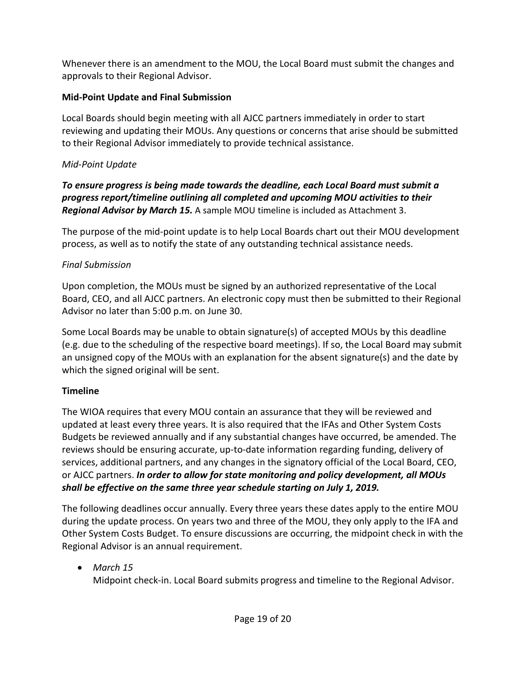Whenever there is an amendment to the MOU, the Local Board must submit the changes and approvals to their Regional Advisor.

## **Mid-Point Update and Final Submission**

Local Boards should begin meeting with all AJCC partners immediately in order to start reviewing and updating their MOUs. Any questions or concerns that arise should be submitted to their Regional Advisor immediately to provide technical assistance.

### *Mid-Point Update*

*To ensure progress is being made towards the deadline, each Local Board must submit a progress report/timeline outlining all completed and upcoming MOU activities to their Regional Advisor by March 15.* A sample MOU timeline is included as Attachment 3.

The purpose of the mid-point update is to help Local Boards chart out their MOU development process, as well as to notify the state of any outstanding technical assistance needs.

### *Final Submission*

Upon completion, the MOUs must be signed by an authorized representative of the Local Board, CEO, and all AJCC partners. An electronic copy must then be submitted to their Regional Advisor no later than 5:00 p.m. on June 30.

Some Local Boards may be unable to obtain signature(s) of accepted MOUs by this deadline (e.g. due to the scheduling of the respective board meetings). If so, the Local Board may submit an unsigned copy of the MOUs with an explanation for the absent signature(s) and the date by which the signed original will be sent.

## **Timeline**

The WIOA requires that every MOU contain an assurance that they will be reviewed and updated at least every three years. It is also required that the IFAs and Other System Costs Budgets be reviewed annually and if any substantial changes have occurred, be amended. The reviews should be ensuring accurate, up-to-date information regarding funding, delivery of services, additional partners, and any changes in the signatory official of the Local Board, CEO, or AJCC partners. *In order to allow for state monitoring and policy development, all MOUs shall be effective on the same three year schedule starting on July 1, 2019.*

The following deadlines occur annually. Every three years these dates apply to the entire MOU during the update process. On years two and three of the MOU, they only apply to the IFA and Other System Costs Budget. To ensure discussions are occurring, the midpoint check in with the Regional Advisor is an annual requirement.

## • *March 15*

Midpoint check-in. Local Board submits progress and timeline to the Regional Advisor.